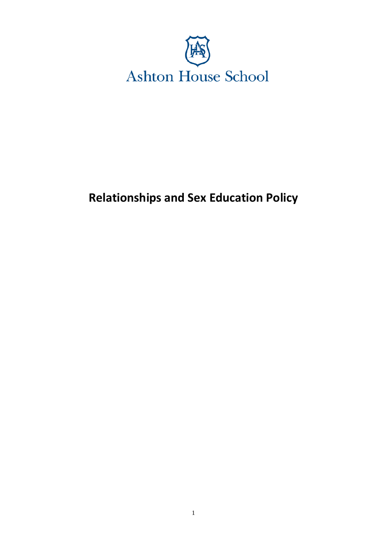

# **Relationships and Sex Education Policy**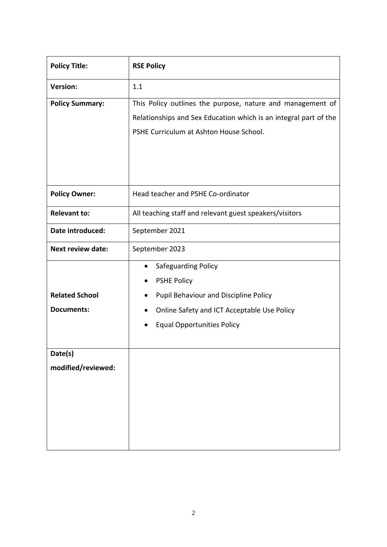| <b>Policy Title:</b>     | <b>RSE Policy</b>                                                |  |  |  |  |  |  |
|--------------------------|------------------------------------------------------------------|--|--|--|--|--|--|
| <b>Version:</b>          | 1.1                                                              |  |  |  |  |  |  |
| <b>Policy Summary:</b>   | This Policy outlines the purpose, nature and management of       |  |  |  |  |  |  |
|                          | Relationships and Sex Education which is an integral part of the |  |  |  |  |  |  |
|                          | PSHE Curriculum at Ashton House School.                          |  |  |  |  |  |  |
|                          |                                                                  |  |  |  |  |  |  |
|                          |                                                                  |  |  |  |  |  |  |
|                          |                                                                  |  |  |  |  |  |  |
| <b>Policy Owner:</b>     | Head teacher and PSHE Co-ordinator                               |  |  |  |  |  |  |
| <b>Relevant to:</b>      | All teaching staff and relevant guest speakers/visitors          |  |  |  |  |  |  |
| Date introduced:         | September 2021                                                   |  |  |  |  |  |  |
| <b>Next review date:</b> | September 2023                                                   |  |  |  |  |  |  |
|                          | Safeguarding Policy<br>$\bullet$                                 |  |  |  |  |  |  |
|                          | <b>PSHE Policy</b>                                               |  |  |  |  |  |  |
| <b>Related School</b>    | Pupil Behaviour and Discipline Policy                            |  |  |  |  |  |  |
| <b>Documents:</b>        | Online Safety and ICT Acceptable Use Policy                      |  |  |  |  |  |  |
|                          | <b>Equal Opportunities Policy</b>                                |  |  |  |  |  |  |
|                          |                                                                  |  |  |  |  |  |  |
| Date(s)                  |                                                                  |  |  |  |  |  |  |
| modified/reviewed:       |                                                                  |  |  |  |  |  |  |
|                          |                                                                  |  |  |  |  |  |  |
|                          |                                                                  |  |  |  |  |  |  |
|                          |                                                                  |  |  |  |  |  |  |
|                          |                                                                  |  |  |  |  |  |  |
|                          |                                                                  |  |  |  |  |  |  |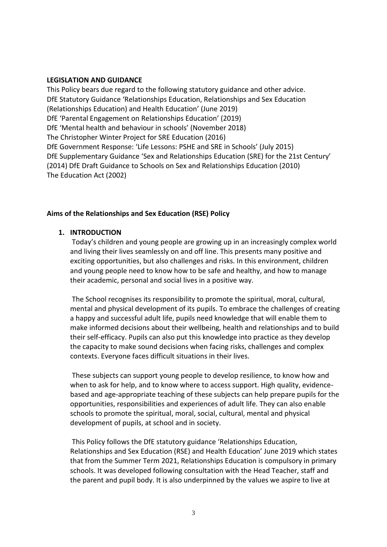#### **LEGISLATION AND GUIDANCE**

This Policy bears due regard to the following statutory guidance and other advice. DfE Statutory Guidance 'Relationships Education, Relationships and Sex Education (Relationships Education) and Health Education' (June 2019) DfE 'Parental Engagement on Relationships Education' (2019) DfE 'Mental health and behaviour in schools' (November 2018) The Christopher Winter Project for SRE Education (2016) DfE Government Response: 'Life Lessons: PSHE and SRE in Schools' (July 2015) DfE Supplementary Guidance 'Sex and Relationships Education (SRE) for the 21st Century' (2014) DfE Draft Guidance to Schools on Sex and Relationships Education (2010) The Education Act (2002)

#### **Aims of the Relationships and Sex Education (RSE) Policy**

#### **1. INTRODUCTION**

Today's children and young people are growing up in an increasingly complex world and living their lives seamlessly on and off line. This presents many positive and exciting opportunities, but also challenges and risks. In this environment, children and young people need to know how to be safe and healthy, and how to manage their academic, personal and social lives in a positive way.

The School recognises its responsibility to promote the spiritual, moral, cultural, mental and physical development of its pupils. To embrace the challenges of creating a happy and successful adult life, pupils need knowledge that will enable them to make informed decisions about their wellbeing, health and relationships and to build their self-efficacy. Pupils can also put this knowledge into practice as they develop the capacity to make sound decisions when facing risks, challenges and complex contexts. Everyone faces difficult situations in their lives.

These subjects can support young people to develop resilience, to know how and when to ask for help, and to know where to access support. High quality, evidencebased and age-appropriate teaching of these subjects can help prepare pupils for the opportunities, responsibilities and experiences of adult life. They can also enable schools to promote the spiritual, moral, social, cultural, mental and physical development of pupils, at school and in society.

This Policy follows the DfE statutory guidance 'Relationships Education, Relationships and Sex Education (RSE) and Health Education' June 2019 which states that from the Summer Term 2021, Relationships Education is compulsory in primary schools. It was developed following consultation with the Head Teacher, staff and the parent and pupil body. It is also underpinned by the values we aspire to live at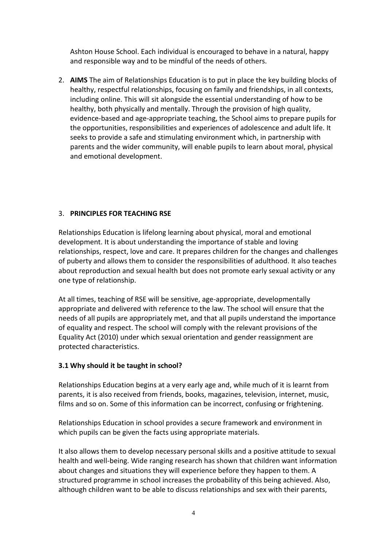Ashton House School. Each individual is encouraged to behave in a natural, happy and responsible way and to be mindful of the needs of others.

2. **AIMS** The aim of Relationships Education is to put in place the key building blocks of healthy, respectful relationships, focusing on family and friendships, in all contexts, including online. This will sit alongside the essential understanding of how to be healthy, both physically and mentally. Through the provision of high quality, evidence-based and age-appropriate teaching, the School aims to prepare pupils for the opportunities, responsibilities and experiences of adolescence and adult life. It seeks to provide a safe and stimulating environment which, in partnership with parents and the wider community, will enable pupils to learn about moral, physical and emotional development.

# 3. **PRINCIPLES FOR TEACHING RSE**

Relationships Education is lifelong learning about physical, moral and emotional development. It is about understanding the importance of stable and loving relationships, respect, love and care. It prepares children for the changes and challenges of puberty and allows them to consider the responsibilities of adulthood. It also teaches about reproduction and sexual health but does not promote early sexual activity or any one type of relationship.

At all times, teaching of RSE will be sensitive, age-appropriate, developmentally appropriate and delivered with reference to the law. The school will ensure that the needs of all pupils are appropriately met, and that all pupils understand the importance of equality and respect. The school will comply with the relevant provisions of the Equality Act (2010) under which sexual orientation and gender reassignment are protected characteristics.

# **3.1 Why should it be taught in school?**

Relationships Education begins at a very early age and, while much of it is learnt from parents, it is also received from friends, books, magazines, television, internet, music, films and so on. Some of this information can be incorrect, confusing or frightening.

Relationships Education in school provides a secure framework and environment in which pupils can be given the facts using appropriate materials.

It also allows them to develop necessary personal skills and a positive attitude to sexual health and well-being. Wide ranging research has shown that children want information about changes and situations they will experience before they happen to them. A structured programme in school increases the probability of this being achieved. Also, although children want to be able to discuss relationships and sex with their parents,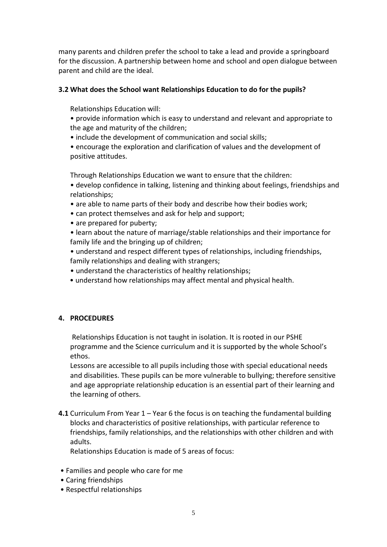many parents and children prefer the school to take a lead and provide a springboard for the discussion. A partnership between home and school and open dialogue between parent and child are the ideal.

# **3.2 What does the School want Relationships Education to do for the pupils?**

Relationships Education will:

- provide information which is easy to understand and relevant and appropriate to the age and maturity of the children;
- include the development of communication and social skills;
- encourage the exploration and clarification of values and the development of positive attitudes.

Through Relationships Education we want to ensure that the children:

• develop confidence in talking, listening and thinking about feelings, friendships and relationships;

- are able to name parts of their body and describe how their bodies work;
- can protect themselves and ask for help and support;
- are prepared for puberty;
- learn about the nature of marriage/stable relationships and their importance for family life and the bringing up of children;
- understand and respect different types of relationships, including friendships, family relationships and dealing with strangers;
- understand the characteristics of healthy relationships;
- understand how relationships may affect mental and physical health.

# **4. PROCEDURES**

Relationships Education is not taught in isolation. It is rooted in our PSHE programme and the Science curriculum and it is supported by the whole School's ethos.

Lessons are accessible to all pupils including those with special educational needs and disabilities. These pupils can be more vulnerable to bullying; therefore sensitive and age appropriate relationship education is an essential part of their learning and the learning of others.

**4.1** Curriculum From Year 1 – Year 6 the focus is on teaching the fundamental building blocks and characteristics of positive relationships, with particular reference to friendships, family relationships, and the relationships with other children and with adults.

Relationships Education is made of 5 areas of focus:

- Families and people who care for me
- Caring friendships
- Respectful relationships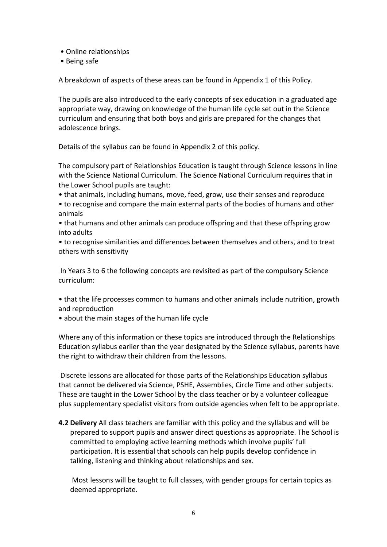- Online relationships
- Being safe

A breakdown of aspects of these areas can be found in Appendix 1 of this Policy.

The pupils are also introduced to the early concepts of sex education in a graduated age appropriate way, drawing on knowledge of the human life cycle set out in the Science curriculum and ensuring that both boys and girls are prepared for the changes that adolescence brings.

Details of the syllabus can be found in Appendix 2 of this policy.

The compulsory part of Relationships Education is taught through Science lessons in line with the Science National Curriculum. The Science National Curriculum requires that in the Lower School pupils are taught:

• that animals, including humans, move, feed, grow, use their senses and reproduce

• to recognise and compare the main external parts of the bodies of humans and other animals

• that humans and other animals can produce offspring and that these offspring grow into adults

• to recognise similarities and differences between themselves and others, and to treat others with sensitivity

In Years 3 to 6 the following concepts are revisited as part of the compulsory Science curriculum:

• that the life processes common to humans and other animals include nutrition, growth and reproduction

• about the main stages of the human life cycle

Where any of this information or these topics are introduced through the Relationships Education syllabus earlier than the year designated by the Science syllabus, parents have the right to withdraw their children from the lessons.

Discrete lessons are allocated for those parts of the Relationships Education syllabus that cannot be delivered via Science, PSHE, Assemblies, Circle Time and other subjects. These are taught in the Lower School by the class teacher or by a volunteer colleague plus supplementary specialist visitors from outside agencies when felt to be appropriate.

**4.2 Delivery** All class teachers are familiar with this policy and the syllabus and will be prepared to support pupils and answer direct questions as appropriate. The School is committed to employing active learning methods which involve pupils' full participation. It is essential that schools can help pupils develop confidence in talking, listening and thinking about relationships and sex.

Most lessons will be taught to full classes, with gender groups for certain topics as deemed appropriate.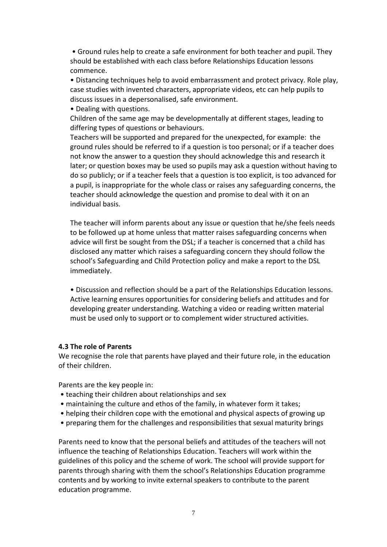• Ground rules help to create a safe environment for both teacher and pupil. They should be established with each class before Relationships Education lessons commence.

• Distancing techniques help to avoid embarrassment and protect privacy. Role play, case studies with invented characters, appropriate videos, etc can help pupils to discuss issues in a depersonalised, safe environment.

• Dealing with questions.

Children of the same age may be developmentally at different stages, leading to differing types of questions or behaviours.

Teachers will be supported and prepared for the unexpected, for example: the ground rules should be referred to if a question is too personal; or if a teacher does not know the answer to a question they should acknowledge this and research it later; or question boxes may be used so pupils may ask a question without having to do so publicly; or if a teacher feels that a question is too explicit, is too advanced for a pupil, is inappropriate for the whole class or raises any safeguarding concerns, the teacher should acknowledge the question and promise to deal with it on an individual basis.

The teacher will inform parents about any issue or question that he/she feels needs to be followed up at home unless that matter raises safeguarding concerns when advice will first be sought from the DSL; if a teacher is concerned that a child has disclosed any matter which raises a safeguarding concern they should follow the school's Safeguarding and Child Protection policy and make a report to the DSL immediately.

• Discussion and reflection should be a part of the Relationships Education lessons. Active learning ensures opportunities for considering beliefs and attitudes and for developing greater understanding. Watching a video or reading written material must be used only to support or to complement wider structured activities.

#### **4.3 The role of Parents**

We recognise the role that parents have played and their future role, in the education of their children.

Parents are the key people in:

- teaching their children about relationships and sex
- maintaining the culture and ethos of the family, in whatever form it takes;
- helping their children cope with the emotional and physical aspects of growing up
- preparing them for the challenges and responsibilities that sexual maturity brings

Parents need to know that the personal beliefs and attitudes of the teachers will not influence the teaching of Relationships Education. Teachers will work within the guidelines of this policy and the scheme of work. The school will provide support for parents through sharing with them the school's Relationships Education programme contents and by working to invite external speakers to contribute to the parent education programme.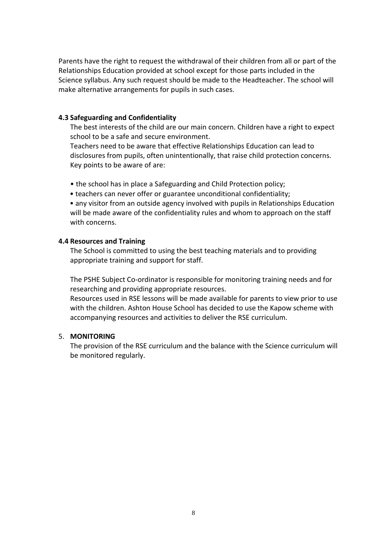Parents have the right to request the withdrawal of their children from all or part of the Relationships Education provided at school except for those parts included in the Science syllabus. Any such request should be made to the Headteacher. The school will make alternative arrangements for pupils in such cases.

#### **4.3 Safeguarding and Confidentiality**

The best interests of the child are our main concern. Children have a right to expect school to be a safe and secure environment.

Teachers need to be aware that effective Relationships Education can lead to disclosures from pupils, often unintentionally, that raise child protection concerns. Key points to be aware of are:

- the school has in place a Safeguarding and Child Protection policy;
- teachers can never offer or guarantee unconditional confidentiality;

 • any visitor from an outside agency involved with pupils in Relationships Education will be made aware of the confidentiality rules and whom to approach on the staff with concerns.

#### **4.4 Resources and Training**

The School is committed to using the best teaching materials and to providing appropriate training and support for staff.

The PSHE Subject Co-ordinator is responsible for monitoring training needs and for researching and providing appropriate resources.

Resources used in RSE lessons will be made available for parents to view prior to use with the children. Ashton House School has decided to use the Kapow scheme with accompanying resources and activities to deliver the RSE curriculum.

#### 5. **MONITORING**

The provision of the RSE curriculum and the balance with the Science curriculum will be monitored regularly.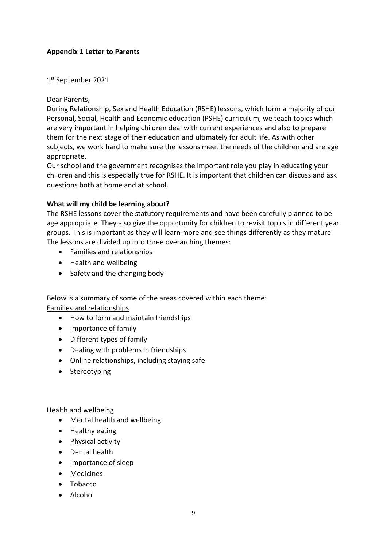# **Appendix 1 Letter to Parents**

1 st September 2021

Dear Parents,

During Relationship, Sex and Health Education (RSHE) lessons, which form a majority of our Personal, Social, Health and Economic education (PSHE) curriculum, we teach topics which are very important in helping children deal with current experiences and also to prepare them for the next stage of their education and ultimately for adult life. As with other subjects, we work hard to make sure the lessons meet the needs of the children and are age appropriate.

Our school and the government recognises the important role you play in educating your children and this is especially true for RSHE. It is important that children can discuss and ask questions both at home and at school.

#### **What will my child be learning about?**

The RSHE lessons cover the statutory requirements and have been carefully planned to be age appropriate. They also give the opportunity for children to revisit topics in different year groups. This is important as they will learn more and see things differently as they mature. The lessons are divided up into three overarching themes:

- Families and relationships
- Health and wellbeing
- Safety and the changing body

Below is a summary of some of the areas covered within each theme: Families and relationships

- How to form and maintain friendships
- Importance of family
- Different types of family
- Dealing with problems in friendships
- Online relationships, including staying safe
- Stereotyping

#### Health and wellbeing

- Mental health and wellbeing
- Healthy eating
- Physical activity
- Dental health
- Importance of sleep
- Medicines
- Tobacco
- Alcohol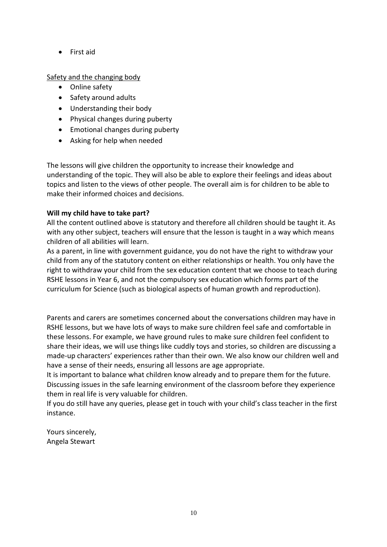• First aid

# Safety and the changing body

- Online safety
- Safety around adults
- Understanding their body
- Physical changes during puberty
- Emotional changes during puberty
- Asking for help when needed

The lessons will give children the opportunity to increase their knowledge and understanding of the topic. They will also be able to explore their feelings and ideas about topics and listen to the views of other people. The overall aim is for children to be able to make their informed choices and decisions.

# **Will my child have to take part?**

All the content outlined above is statutory and therefore all children should be taught it. As with any other subject, teachers will ensure that the lesson is taught in a way which means children of all abilities will learn.

As a parent, in line with government guidance, you do not have the right to withdraw your child from any of the statutory content on either relationships or health. You only have the right to withdraw your child from the sex education content that we choose to teach during RSHE lessons in Year 6, and not the compulsory sex education which forms part of the curriculum for Science (such as biological aspects of human growth and reproduction).

Parents and carers are sometimes concerned about the conversations children may have in RSHE lessons, but we have lots of ways to make sure children feel safe and comfortable in these lessons. For example, we have ground rules to make sure children feel confident to share their ideas, we will use things like cuddly toys and stories, so children are discussing a made-up characters' experiences rather than their own. We also know our children well and have a sense of their needs, ensuring all lessons are age appropriate.

It is important to balance what children know already and to prepare them for the future. Discussing issues in the safe learning environment of the classroom before they experience them in real life is very valuable for children.

If you do still have any queries, please get in touch with your child's class teacher in the first instance.

Yours sincerely, Angela Stewart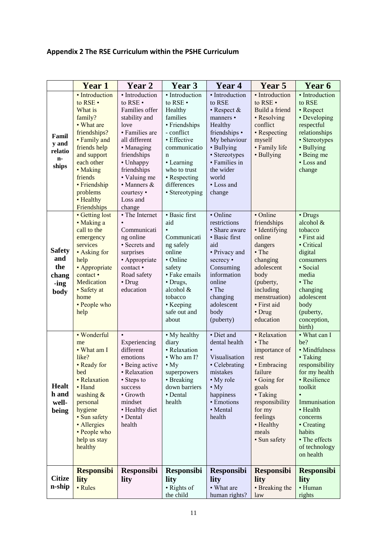# **Appendix 2 The RSE Curriculum within the PSHE Curriculum**

|                                                      | <b>Year 1</b>                                                                                                                                                                                                              | Year 2                                                                                                                                                                                                                                          | Year 3                                                                                                                                                                                                        | Year 4                                                                                                                                                                                               | Year 5                                                                                                                                                                                             | Year 6                                                                                                                                                                                                                        |
|------------------------------------------------------|----------------------------------------------------------------------------------------------------------------------------------------------------------------------------------------------------------------------------|-------------------------------------------------------------------------------------------------------------------------------------------------------------------------------------------------------------------------------------------------|---------------------------------------------------------------------------------------------------------------------------------------------------------------------------------------------------------------|------------------------------------------------------------------------------------------------------------------------------------------------------------------------------------------------------|----------------------------------------------------------------------------------------------------------------------------------------------------------------------------------------------------|-------------------------------------------------------------------------------------------------------------------------------------------------------------------------------------------------------------------------------|
| Famil<br>y and<br>relatio<br>n-<br>ships             | · Introduction<br>to RSE .<br>What is<br>family?<br>• What are<br>friendships?<br>• Family and<br>friends help<br>and support<br>each other<br>• Making<br>friends<br>• Friendship<br>problems<br>• Healthy<br>Friendships | • Introduction<br>to RSE .<br>Families offer<br>stability and<br>love<br>• Families are<br>all different<br>• Managing<br>friendships<br>• Unhappy<br>friendships<br>• Valuing me<br>$\bullet$ Manners $\&$<br>courtesy •<br>Loss and<br>change | • Introduction<br>to RSE .<br>Healthy<br>families<br>• Friendships<br>- conflict<br>• Effective<br>communicatio<br>$\mathbf n$<br>• Learning<br>who to trust<br>• Respecting<br>differences<br>• Stereotyping | • Introduction<br>to RSE<br>$\cdot$ Respect &<br>manners •<br>Healthy<br>friendships •<br>My behaviour<br>• Bullying<br>• Stereotypes<br>• Families in<br>the wider<br>world<br>• Loss and<br>change | • Introduction<br>to RSE .<br>Build a friend<br>• Resolving<br>conflict<br>• Respecting<br>myself<br>• Family life<br>• Bullying                                                                   | • Introduction<br>to RSE<br>• Respect<br>• Developing<br>respectful<br>relationships<br>• Stereotypes<br>• Bullying<br>• Being me<br>• Loss and<br>change                                                                     |
| <b>Safety</b><br>and<br>the<br>chang<br>-ing<br>body | • Getting lost<br>• Making a<br>call to the<br>emergency<br>services<br>• Asking for<br>help<br>• Appropriate<br>contact •<br>Medication<br>· Safety at<br>home<br>• People who<br>help                                    | • The Internet<br>Communicati<br>ng online<br>· Secrets and<br>surprises<br>• Appropriate<br>contact •<br>Road safety<br>• Drug<br>education                                                                                                    | · Basic first<br>aid<br>Communicati<br>ng safely<br>online<br>$\bullet$ Online<br>safety<br>· Fake emails<br>· Drugs,<br>alcohol &<br>tobacco<br>• Keeping<br>safe out and<br>about                           | • Online<br>restrictions<br>• Share aware<br>• Basic first<br>aid<br>• Privacy and<br>secrecy •<br>Consuming<br>information<br>online<br>$\cdot$ The<br>changing<br>adolescent<br>body<br>(puberty)  | • Online<br>friendships<br>• Identifying<br>online<br>dangers<br>• The<br>changing<br>adolescent<br>body<br>(puberty,<br>including<br>menstruation)<br>· First aid<br>• Drug<br>education          | • Drugs<br>alcohol &<br>tobacco<br>• First aid<br>• Critical<br>digital<br>consumers<br>· Social<br>media<br>$\cdot$ The<br>changing<br>adolescent<br>body<br>(puberty,<br>conception,<br>birth)                              |
| <b>Healt</b><br>h and<br>well-<br>being              | • Wonderful<br>me<br>• What am I<br>like?<br>• Ready for<br>bed<br>• Relaxation<br>• Hand<br>washing &<br>personal<br>hygiene<br>· Sun safety<br>· Allergies<br>• People who<br>help us stay<br>healthy                    | $\bullet$<br>Experiencing<br>different<br>emotions<br>• Being active<br>• Relaxation<br>• Steps to<br>success<br>• Growth<br>mindset<br>• Healthy diet<br>• Dental<br>health                                                                    | • My healthy<br>diary<br>· Relaxation<br>• Who am I?<br>$\cdot$ My<br>superpowers<br>• Breaking<br>down barriers<br>• Dental<br>health                                                                        | • Diet and<br>dental health<br>Visualisation<br>• Celebrating<br>mistakes<br>• My role<br>$\bullet$ My<br>happiness<br>• Emotions<br>• Mental<br>health                                              | • Relaxation<br>$\bullet$ The<br>importance of<br>rest<br>• Embracing<br>failure<br>• Going for<br>goals<br>• Taking<br>responsibility<br>for my<br>feelings<br>• Healthy<br>meals<br>· Sun safety | • What can I<br>be?<br>· Mindfulness<br>• Taking<br>responsibility<br>for my health<br>• Resilience<br>toolkit<br>Immunisation<br>• Health<br>concerns<br>• Creating<br>habits<br>• The effects<br>of technology<br>on health |
| <b>Citize</b><br>n-ship                              | <b>Responsibi</b><br>lity<br>• Rules                                                                                                                                                                                       | <b>Responsibi</b><br>lity                                                                                                                                                                                                                       | <b>Responsibi</b><br>lity<br>• Rights of<br>the child                                                                                                                                                         | <b>Responsibi</b><br>lity<br>• What are<br>human rights?                                                                                                                                             | <b>Responsibi</b><br>lity<br>• Breaking the<br>law                                                                                                                                                 | <b>Responsibi</b><br>lity<br>• Human<br>rights                                                                                                                                                                                |